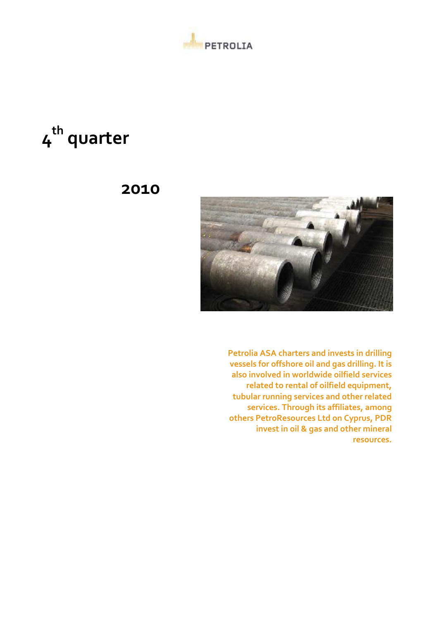

# **4 th quarter**

# **2010**



**Petrolia ASA charters and invests in drilling vessels for offshore oil and gas drilling. It is also involved in worldwide oilfield services related to rental of oilfield equipment, tubular running services and other related services. Through its affiliates, among others PetroResources Ltd on Cyprus, PDR invest in oil & gas and other mineral resources.**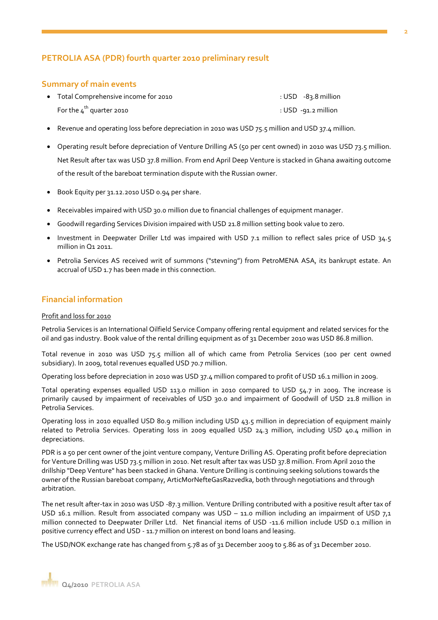### **PETROLIA ASA (PDR) fourth quarter 2010 preliminary result**

#### **Summary of main events**

- Total Comprehensive income for 2010 : COME : USD -83.8 million For the  $4^{\text{th}}$  quarter 2010  $:$  USD -91.2 million
- Revenue and operating loss before depreciation in 2010 was USD 75.5 million and USD 37.4 million.
- Operating result before depreciation of Venture Drilling AS (50 per cent owned) in 2010 was USD 73.5 million. Net Result after tax was USD 37.8 million. From end April Deep Venture is stacked in Ghana awaiting outcome of the result of the bareboat termination dispute with the Russian owner.
- Book Equity per 31.12.2010 USD 0.94 per share.
- Receivables impaired with USD 30.0 million due to financial challenges of equipment manager.
- Goodwill regarding Services Division impaired with USD 21.8 million setting book value to zero.
- Investment in Deepwater Driller Ltd was impaired with USD 7.1 million to reflect sales price of USD 34.5 million in Q1 2011.
- Petrolia Services AS received writ of summons ("stevning") from PetroMENA ASA, its bankrupt estate. An accrual of USD 1.7 has been made in this connection.

#### **Financial information**

#### Profit and loss for 2010

Petrolia Services is an International Oilfield Service Company offering rental equipment and related services for the oil and gas industry. Book value of the rental drilling equipment as of 31 December 2010 was USD 86.8 million.

Total revenue in 2010 was USD 75.5 million all of which came from Petrolia Services (100 per cent owned subsidiary). In 2009, total revenues equalled USD 70.7 million.

Operating loss before depreciation in 2010 was USD 37.4 million compared to profit of USD 16.1 million in 2009.

Total operating expenses equalled USD 113.0 million in 2010 compared to USD 54.7 in 2009. The increase is primarily caused by impairment of receivables of USD 30.0 and impairment of Goodwill of USD 21.8 million in Petrolia Services.

Operating loss in 2010 equalled USD 80.9 million including USD 43.5 million in depreciation of equipment mainly related to Petrolia Services. Operating loss in 2009 equalled USD 24.3 million, including USD 40.4 million in depreciations.

PDR is a 50 per cent owner of the joint venture company, Venture Drilling AS. Operating profit before depreciation for Venture Drilling was USD 73.5 million in 2010. Net result after tax was USD 37.8 million. From April 2010 the drillship "Deep Venture" has been stacked in Ghana. Venture Drilling is continuing seeking solutions towards the owner of the Russian bareboat company, ArticMorNefteGasRazvedka, both through negotiations and through arbitration.

The net result after-tax in 2010 was USD -87.3 million. Venture Drilling contributed with a positive result after tax of USD 16.1 million. Result from associated company was USD – 11.0 million including an impairment of USD  $7,1$ million connected to Deepwater Driller Ltd. Net financial items of USD -11.6 million include USD 0.1 million in positive currency effect and USD - 11.7 million on interest on bond loans and leasing.

The USD/NOK exchange rate has changed from 5.78 as of 31 December 2009 to 5.86 as of 31 December 2010.

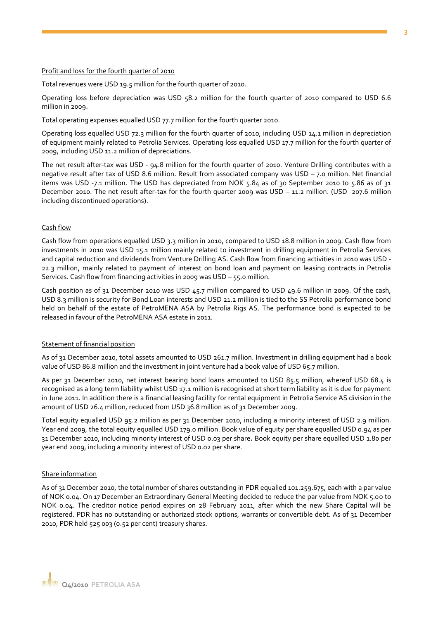#### **3**

#### Profit and loss for the fourth quarter of 2010

Total revenues were USD 19.5 million for the fourth quarter of 2010.

Operating loss before depreciation was USD 58.2 million for the fourth quarter of 2010 compared to USD 6.6 million in 2009.

Total operating expenses equalled USD 77.7 million for the fourth quarter 2010.

Operating loss equalled USD 72.3 million for the fourth quarter of 2010, including USD 14.1 million in depreciation of equipment mainly related to Petrolia Services. Operating loss equalled USD 17.7 million for the fourth quarter of 2009, including USD 11.2 million of depreciations.

The net result after-tax was USD - 94.8 million for the fourth quarter of 2010. Venture Drilling contributes with a negative result after tax of USD 8.6 million. Result from associated company was USD – 7.0 million. Net financial items was USD -7.1 million. The USD has depreciated from NOK 5.84 as of 30 September 2010 to 5.86 as of 31 December 2010. The net result after-tax for the fourth quarter 2009 was USD – 11.2 million. (USD 207.6 million including discontinued operations).

#### Cash flow

Cash flow from operations equalled USD 3.3 million in 2010, compared to USD 18.8 million in 2009. Cash flow from investments in 2010 was USD 15.1 million mainly related to investment in drilling equipment in Petrolia Services and capital reduction and dividends from Venture Drilling AS. Cash flow from financing activities in 2010 was USD - 22.3 million, mainly related to payment of interest on bond loan and payment on leasing contracts in Petrolia Services. Cash flow from financing activities in 2009 was USD – 55.0 million.

Cash position as of 31 December 2010 was USD 45.7 million compared to USD 49.6 million in 2009. Of the cash, USD 8.3 million is security for Bond Loan interests and USD 21.2 million is tied to the SS Petrolia performance bond held on behalf of the estate of PetroMENA ASA by Petrolia Rigs AS. The performance bond is expected to be released in favour of the PetroMENA ASA estate in 2011.

#### Statement of financial position

As of 31 December 2010, total assets amounted to USD 261.7 million. Investment in drilling equipment had a book value of USD 86.8 million and the investment in joint venture had a book value of USD 65.7 million.

As per 31 December 2010, net interest bearing bond loans amounted to USD 85.5 million, whereof USD 68.4 is recognised as a long term liability whilst USD 17.1 million is recognised at short term liability as it is due for payment in June 2011. In addition there is a financial leasing facility for rental equipment in Petrolia Service AS division in the amount of USD 26.4 million, reduced from USD 36.8 million as of 31 December 2009.

Total equity equalled USD 95.2 million as per 31 December 2010, including a minority interest of USD 2.9 million. Year end 2009, the total equity equalled USD 179.0 million. Book value of equity per share equalled USD 0.94 as per 31 December 2010, including minority interest of USD 0.03 per share**.** Book equity per share equalled USD 1.80 per year end 2009, including a minority interest of USD 0.02 per share.

#### Share information

As of 31 December 2010, the total number of shares outstanding in PDR equalled 101.259.675, each with a par value of NOK 0.04. On 17 December an Extraordinary General Meeting decided to reduce the par value from NOK 5.00 to NOK 0.04. The creditor notice period expires on 28 February 2011, after which the new Share Capital will be registered. PDR has no outstanding or authorized stock options, warrants or convertible debt. As of 31 December 2010, PDR held 525 003 (0.52 per cent) treasury shares.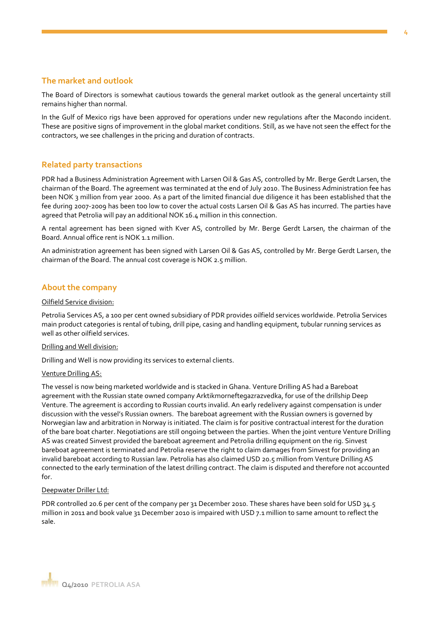### **The market and outlook**

The Board of Directors is somewhat cautious towards the general market outlook as the general uncertainty still remains higher than normal.

In the Gulf of Mexico rigs have been approved for operations under new regulations after the Macondo incident. These are positive signs of improvement in the global market conditions. Still, as we have not seen the effect for the contractors, we see challenges in the pricing and duration of contracts.

#### **Related party transactions**

PDR had a Business Administration Agreement with Larsen Oil & Gas AS, controlled by Mr. Berge Gerdt Larsen, the chairman of the Board. The agreement was terminated at the end of July 2010. The Business Administration fee has been NOK 3 million from year 2000. As a part of the limited financial due diligence it has been established that the fee during 2007-2009 has been too low to cover the actual costs Larsen Oil & Gas AS has incurred. The parties have agreed that Petrolia will pay an additional NOK 16.4 million in this connection.

A rental agreement has been signed with Kver AS, controlled by Mr. Berge Gerdt Larsen, the chairman of the Board. Annual office rent is NOK 1.1 million.

An administration agreement has been signed with Larsen Oil & Gas AS, controlled by Mr. Berge Gerdt Larsen, the chairman of the Board. The annual cost coverage is NOK 2.5 million.

#### **About the company**

#### Oilfield Service division:

Petrolia Services AS, a 100 per cent owned subsidiary of PDR provides oilfield services worldwide. Petrolia Services main product categories is rental of tubing, drill pipe, casing and handling equipment, tubular running services as well as other oilfield services.

#### Drilling and Well division:

Drilling and Well is now providing its services to external clients.

#### Venture Drilling AS:

The vessel is now being marketed worldwide and is stacked in Ghana. Venture Drilling AS had a Bareboat agreement with the Russian state owned company Arktikmorneftegazrazvedka, for use of the drillship Deep Venture. The agreement is according to Russian courts invalid. An early redelivery against compensation is under discussion with the vessel's Russian owners. The bareboat agreement with the Russian owners is governed by Norwegian law and arbitration in Norway is initiated. The claim is for positive contractual interest for the duration of the bare boat charter. Negotiations are still ongoing between the parties. When the joint venture Venture Drilling AS was created Sinvest provided the bareboat agreement and Petrolia drilling equipment on the rig. Sinvest bareboat agreement is terminated and Petrolia reserve the right to claim damages from Sinvest for providing an invalid bareboat according to Russian law. Petrolia has also claimed USD 20.5 million from Venture Drilling AS connected to the early termination of the latest drilling contract. The claim is disputed and therefore not accounted for.

#### Deepwater Driller Ltd:

PDR controlled 20.6 per cent of the company per 31 December 2010. These shares have been sold for USD 34.5 million in 2011 and book value 31 December 2010 is impaired with USD 7.1 million to same amount to reflect the sale.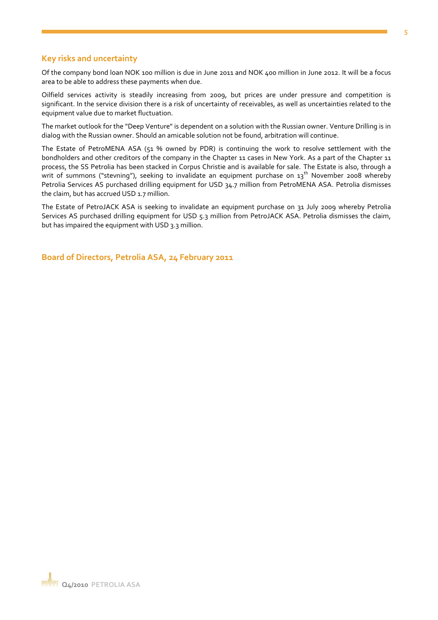#### **Key risks and uncertainty**

Of the company bond loan NOK 100 million is due in June 2011 and NOK 400 million in June 2012. It will be a focus area to be able to address these payments when due.

Oilfield services activity is steadily increasing from 2009, but prices are under pressure and competition is significant. In the service division there is a risk of uncertainty of receivables, as well as uncertainties related to the equipment value due to market fluctuation.

The market outlook for the "Deep Venture" is dependent on a solution with the Russian owner. Venture Drilling is in dialog with the Russian owner. Should an amicable solution not be found, arbitration will continue.

The Estate of PetroMENA ASA (51 % owned by PDR) is continuing the work to resolve settlement with the bondholders and other creditors of the company in the Chapter 11 cases in New York. As a part of the Chapter 11 process, the SS Petrolia has been stacked in Corpus Christie and is available for sale. The Estate is also, through a writ of summons ("stevning"), seeking to invalidate an equipment purchase on 13<sup>th</sup> November 2008 whereby Petrolia Services AS purchased drilling equipment for USD 34.7 million from PetroMENA ASA. Petrolia dismisses the claim, but has accrued USD 1.7 million.

The Estate of PetroJACK ASA is seeking to invalidate an equipment purchase on 31 July 2009 whereby Petrolia Services AS purchased drilling equipment for USD 5.3 million from PetroJACK ASA. Petrolia dismisses the claim, but has impaired the equipment with USD 3.3 million.

**Board of Directors, Petrolia ASA, 24 February 2011**

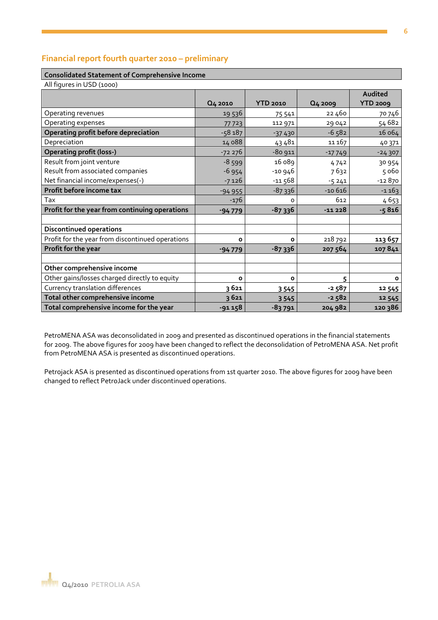### **Financial report fourth quarter 2010 – preliminary**

#### **Consolidated Statement of Comprehensive Income**

| All figures in USD (1000)                        |          |                 |          |                 |
|--------------------------------------------------|----------|-----------------|----------|-----------------|
|                                                  |          |                 |          | Audited         |
|                                                  | Q4 2010  | <b>YTD 2010</b> | Q4 2009  | <b>YTD 2009</b> |
| Operating revenues                               | 19 536   | 75 541          | 22460    | 70 746          |
| Operating expenses                               | 77723    | 112 971         | 29042    | 54 682          |
| Operating profit before depreciation             | $-58187$ | $-37430$        | $-6582$  | 16 064          |
| Depreciation                                     | 14 088   | 43481           | 11 167   | 40 371          |
| <b>Operating profit (loss-)</b>                  | $-72276$ | $-80911$        | $-17749$ | $-24307$        |
| Result from joint venture                        | $-8599$  | 16 089          | 4742     | 30 954          |
| Result from associated companies                 | $-6954$  | $-10946$        | 7632     | 5 060           |
| Net financial income/expenses(-)                 | $-7126$  | $-11568$        | $-5241$  | $-12870$        |
| Profit before income tax                         | $-94955$ | $-87336$        | $-10616$ | $-1163$         |
| Tax                                              | $-176$   | $\Omega$        | 612      | 4653            |
| Profit for the year from continuing operations   | $-94779$ | $-87336$        | $-11228$ | $-5816$         |
|                                                  |          |                 |          |                 |
| <b>Discontinued operations</b>                   |          |                 |          |                 |
| Profit for the year from discontinued operations | O        | $\mathbf{o}$    | 218 792  | 113 657         |
| Profit for the year                              | $-94779$ | $-87336$        | 207 564  | 107841          |
|                                                  |          |                 |          |                 |
| Other comprehensive income                       |          |                 |          |                 |
| Other gains/losses charged directly to equity    | O        | $\mathbf{o}$    | 5        | o               |
| Currency translation differences                 | 3 621    | 3545            | $-2587$  | 12 545          |
| Total other comprehensive income                 | 3621     | 3 5 4 5         | $-2582$  | 12 545          |
| Total comprehensive income for the year          | $-91158$ | $-83791$        | 204 982  | 120 386         |

PetroMENA ASA was deconsolidated in 2009 and presented as discontinued operations in the financial statements for 2009. The above figures for 2009 have been changed to reflect the deconsolidation of PetroMENA ASA. Net profit from PetroMENA ASA is presented as discontinued operations.

Petrojack ASA is presented as discontinued operations from 1st quarter 2010. The above figures for 2009 have been changed to reflect PetroJack under discontinued operations.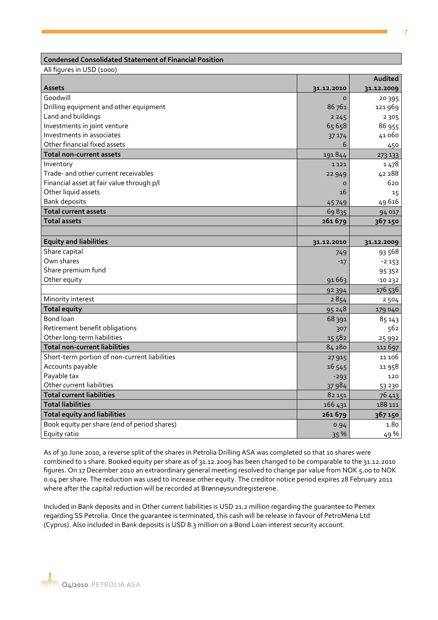#### **Condensed Consolidated Statement of Financial Position**

All figures in USD (1000)

|                                               |            | Audited    |
|-----------------------------------------------|------------|------------|
| <b>Assets</b>                                 | 31.12.2010 | 31.12.2009 |
| Goodwill                                      | $\Omega$   | 20 3 9 5   |
| Drilling equipment and other equipment        | 86761      | 121 969    |
| Land and buildings                            | 2245       | 2 3 0 5    |
| Investments in joint venture                  | 65658      | 86 955     |
| Investments in associates                     | 37 174     | 41060      |
| Other financial fixed assets                  | 6          | 450        |
| <b>Total non-current assets</b>               | 191844     | 273 133    |
| Inventory                                     | 1 1 2 1    | 1478       |
| Trade- and other current receivables          | 22949      | 42 288     |
| Financial asset at fair value through p/l     | $\circ$    | 620        |
| Other liquid assets                           | 16         | 15         |
| <b>Bank deposits</b>                          | 45749      | 49 616     |
| <b>Total current assets</b>                   | 69835      | 94 017     |
| <b>Total assets</b>                           | 261679     | 367150     |
|                                               |            |            |
| <b>Equity and liabilities</b>                 | 31.12.2010 | 31.12.2009 |
| Share capital                                 | 749        | 93 568     |
| Own shares                                    | $-17$      | $-2153$    |
| Share premium fund                            |            | 95352      |
| Other equity                                  | 91663      | $-10232$   |
|                                               | 92 394     | 176 536    |
| Minority interest                             | 2854       | 2 5 0 4    |
| <b>Total equity</b>                           | 95248      | 179 040    |
| Bond loan                                     | 68 391     | 85 143     |
| Retirement benefit obligations                | 307        | 562        |
| Other long-term liabilities                   | 15 582     | 25 9 92    |
| <b>Total non-current liabilities</b>          | 84 28 0    | 111697     |
| Short-term portion of non-current liabilities | 27 915     | 11 106     |
| Accounts payable                              | 16 545     | 11 958     |
| Payable tax                                   | $-293$     | 120        |
| Other current liabilities                     | 37984      | 53 230     |
| <b>Total current liabilities</b>              | 82 151     | 76 413     |
| <b>Total liabilities</b>                      | 166 431    | 188 111    |
| <b>Total equity and liabilities</b>           | 261 679    | 367150     |
| Book equity per share (end of period shares)  | 0.94       | 1.80       |
| Equity ratio                                  | 35 %       | 49 %       |

As of 30 June 2010, a reverse split of the shares in Petrolia Drilling ASA was completed so that 10 shares were combined to 1 share. Booked equity per share as of 31.12.2009 has been changed to be comparable to the 31.12.2010 figures. On 17 December 2010 an extraordinary general meeting resolved to change par value from NOK 5.00 to NOK 0.04 per share. The reduction was used to increase other equity. The creditor notice period expires 28 February 2011 where after the capital reduction will be recorded at Brønnøysundregisterene.

Included in Bank deposits and in Other current liabilities is USD 21.2 million regarding the guarantee to Pemex regarding SS Petrolia. Once the guarantee is terminated, this cash will be release in favour of PetroMena Ltd (Cyprus). Also included in Bank deposits is USD 8.3 million on a Bond Loan interest security account.

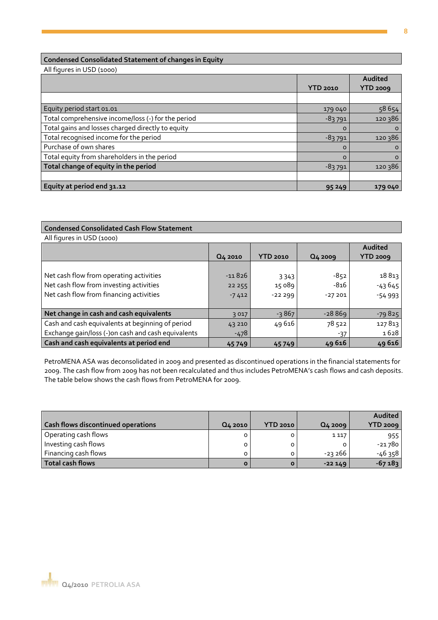### **Condensed Consolidated Statement of changes in Equity**

All figures in USD (1000)

|                                                    | <b>YTD 2010</b> | Audited<br>YTD 2009 |
|----------------------------------------------------|-----------------|---------------------|
|                                                    |                 |                     |
| Equity period start 01.01                          | 179 040         | 58 654              |
| Total comprehensive income/loss (-) for the period | $-83791$        | 120 386             |
| Total gains and losses charged directly to equity  | $\Omega$        | O                   |
| Total recognised income for the period             | $-83791$        | 120 386             |
| Purchase of own shares                             | $\Omega$        | O                   |
| Total equity from shareholders in the period       | $\Omega$        | O                   |
| Total change of equity in the period               | $-83791$        | 120 386             |
|                                                    |                 |                     |
| Equity at period end 31.12                         | 95249           | 179040              |

#### **Condensed Consolidated Cash Flow Statement**

All figures in USD (1000)

|                                                    |                     |                 |          | Audited         |
|----------------------------------------------------|---------------------|-----------------|----------|-----------------|
|                                                    | Q <sub>4</sub> 2010 | <b>YTD 2010</b> | Q4 2009  | <b>YTD 2009</b> |
|                                                    |                     |                 |          |                 |
| Net cash flow from operating activities            | $-11826$            | 3 3 4 3         | $-852$   | 18813           |
| Net cash flow from investing activities            | 22 2 5 5            | 15 089          | $-816$   | $-43645$        |
| Net cash flow from financing activities            | $-7412$             | $-22299$        | $-27201$ | $-54993$        |
|                                                    |                     |                 |          |                 |
| Net change in cash and cash equivalents            | 3017                | $-3867$         | $-28869$ | $-79825$        |
| Cash and cash equivalents at beginning of period   | 43 210              | 49616           | 78 522   | 127813          |
| Exchange gain/loss (-)on cash and cash equivalents | $-478$              |                 | $-37$    | 1628            |
| Cash and cash equivalents at period end            | 45749               | 45749           | 49616    | 49616           |

PetroMENA ASA was deconsolidated in 2009 and presented as discontinued operations in the financial statements for 2009. The cash flow from 2009 has not been recalculated and thus includes PetroMENA's cash flows and cash deposits. The table below shows the cash flows from PetroMENA for 2009.

|                                           |              |                 |          | Audited  |
|-------------------------------------------|--------------|-----------------|----------|----------|
| <b>Cash flows discontinued operations</b> | Q4 2010      | <b>YTD 2010</b> | Q4 2009  | YTD 2009 |
| Operating cash flows                      |              | o               | 1 1 1 7  | 955      |
| Investing cash flows                      | o            | o               |          | -21780   |
| Financing cash flows                      | 0            | o               | -23 266  | $-46358$ |
| Total cash flows                          | $\mathbf{o}$ | Ο               | $-22149$ | $-67183$ |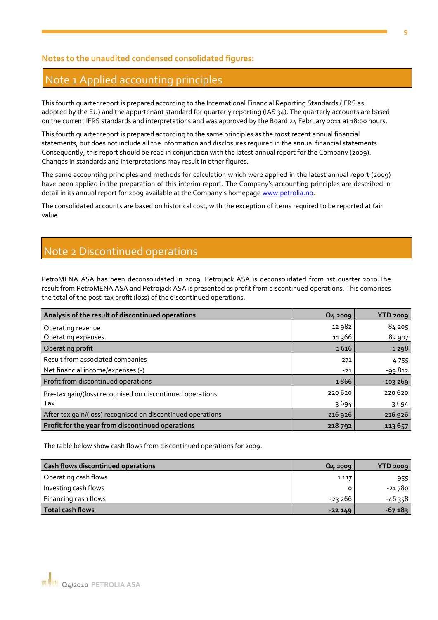### **Notes to the unaudited condensed consolidated figures:**

### Note 1 Applied accounting principles

This fourth quarter report is prepared according to the International Financial Reporting Standards (IFRS as adopted by the EU) and the appurtenant standard for quarterly reporting (IAS 34). The quarterly accounts are based on the current IFRS standards and interpretations and was approved by the Board 24 February 2011 at 18:00 hours.

This fourth quarter report is prepared according to the same principles as the most recent annual financial statements, but does not include all the information and disclosures required in the annual financial statements. Consequently, this report should be read in conjunction with the latest annual report for the Company (2009). Changes in standards and interpretations may result in other figures.

The same accounting principles and methods for calculation which were applied in the latest annual report (2009) have been applied in the preparation of this interim report. The Company's accounting principles are described in detail in its annual report for 2009 available at the Company's homepage [www.petrolia.no.](http://www.petrolia.no/)

The consolidated accounts are based on historical cost, with the exception of items required to be reported at fair value.

## Note 2 Discontinued operations

PetroMENA ASA has been deconsolidated in 2009. Petrojack ASA is deconsolidated from 1st quarter 2010.The result from PetroMENA ASA and Petrojack ASA is presented as profit from discontinued operations. This comprises the total of the post-tax profit (loss) of the discontinued operations.

| Analysis of the result of discontinued operations           | Q4 2009 | <b>YTD 2009</b> |
|-------------------------------------------------------------|---------|-----------------|
| Operating revenue                                           | 12 982  | 84 205          |
| Operating expenses                                          | 11 366  | 82 907          |
| Operating profit                                            | 1616    | 1298            |
| Result from associated companies                            | 271     | $-4755$         |
| Net financial income/expenses (-)                           | $-21$   | -99812          |
| Profit from discontinued operations                         | 1866    | $-103269$       |
| Pre-tax gain/(loss) recognised on discontinued operations   | 220 620 | 220 620         |
| Tax                                                         | 3694    | 3694            |
| After tax gain/(loss) recognised on discontinued operations | 216 926 | 216 926         |
| Profit for the year from discontinued operations            | 218 792 | 113 657         |

The table below show cash flows from discontinued operations for 2009.

| <b>Cash flows discontinued operations</b> | Q4 2009  | $YTD$ 2009 |
|-------------------------------------------|----------|------------|
| Operating cash flows                      | 1 1 1 7  | 955        |
| Investing cash flows                      | 0        | $-21780$   |
| Financing cash flows                      | -23 266  | $-46358$   |
| <b>Total cash flows</b>                   | $-22149$ | $-67183$   |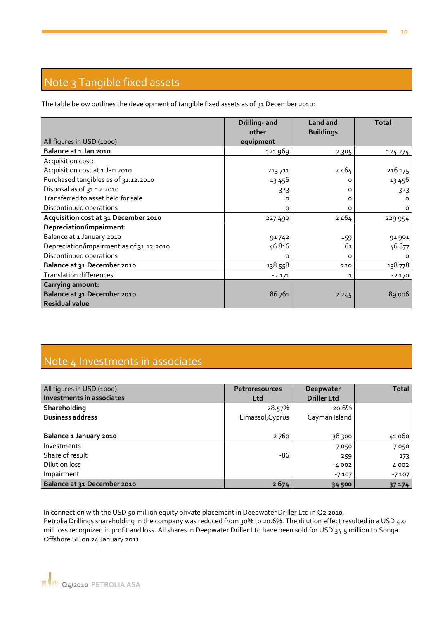# Note 3 Tangible fixed assets

The table below outlines the development of tangible fixed assets as of 31 December 2010:

|                                          | Drilling- and<br>other | Land and<br><b>Buildings</b> | <b>Total</b> |
|------------------------------------------|------------------------|------------------------------|--------------|
| All figures in USD (1000)                | equipment              |                              |              |
| Balance at 1 Jan 2010                    | 121 969                | 2 3 0 5                      | 124 274      |
| Acquisition cost:                        |                        |                              |              |
| Acquisition cost at 1 Jan 2010           | 213 711                | 2464                         | 216 175      |
| Purchased tangibles as of 31.12.2010     | 13 4 5 6               | 0                            | 13 4 5 6     |
| Disposal as of 31.12.2010                | 323                    | 0                            | 323          |
| Transferred to asset held for sale       | O                      | 0                            | O            |
| Discontinued operations                  | 0                      | о                            | o            |
| Acquisition cost at 31 December 2010     | 227490                 | 2464                         | 229 954      |
| Depreciation/impairment:                 |                        |                              |              |
| Balance at 1 January 2010                | 91742                  | 159                          | 91 901       |
| Depreciation/impairment as of 31.12.2010 | 46816                  | 61                           | 46 877       |
| Discontinued operations                  | 0                      | 0                            | 0            |
| Balance at 31 December 2010              | 138 558                | 220                          | 138 778      |
| <b>Translation differences</b>           | $-2171$                | 1                            | $-2170$      |
| Carrying amount:                         |                        |                              |              |
| Balance at 31 December 2010              | 86761                  | 2245                         | 89 006       |
| <b>Residual value</b>                    |                        |                              |              |

# Note 4 Investments in associates

| All figures in USD (1000)   | <b>Petroresources</b> | Deepwater          | <b>Total</b> |
|-----------------------------|-----------------------|--------------------|--------------|
| Investments in associates   | Ltd                   | <b>Driller Ltd</b> |              |
| Shareholding                | 28.57%                | 20.6%              |              |
| <b>Business address</b>     | Limassol, Cyprus      | Cayman Island      |              |
|                             |                       |                    |              |
| Balance 1 January 2010      | 2760                  | 38 300             | 41060        |
| Investments                 |                       | 7050               | 7050         |
| Share of result             | $-86$                 | 259                | 173          |
| <b>Dilution loss</b>        |                       | $-4002$            | $-4002$      |
| Impairment                  |                       | $-7107$            | $-7107$      |
| Balance at 31 December 2010 | 2674                  | 34 500             | 37 174       |

In connection with the USD 50 million equity private placement in Deepwater Driller Ltd in Q2 2010, Petrolia Drillings shareholding in the company was reduced from 30% to 20.6%. The dilution effect resulted in a USD 4.0 mill loss recognized in profit and loss. All shares in Deepwater Driller Ltd have been sold for USD 34.5 million to Songa Offshore SE on 24 January 2011.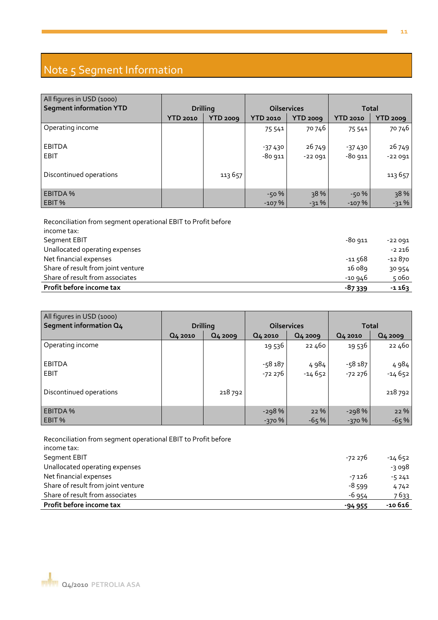# Note 5 Segment Information

| All figures in USD (1000) |          |                 |                    |                 |              |                 |
|---------------------------|----------|-----------------|--------------------|-----------------|--------------|-----------------|
| Segment information YTD   |          | <b>Drilling</b> | <b>Oilservices</b> |                 | <b>Total</b> |                 |
|                           | YTD 2010 | <b>YTD 2009</b> | <b>YTD 2010</b>    | <b>YTD 2009</b> | YTD 2010     | <b>YTD 2009</b> |
| Operating income          |          |                 | 75 541             | 70 746          | 75 541       | 70 746          |
| <b>EBITDA</b>             |          |                 | $-37430$           | 26 749          | $-37430$     | 26 749          |
| <b>EBIT</b>               |          |                 | $-80911$           | $-22091$        | $-80911$     | $-22091$        |
| Discontinued operations   |          | 113657          |                    |                 |              | 113 657         |
| <b>EBITDA%</b>            |          |                 | $-50%$             | 38%             | $-50%$       | 38%             |
| EBIT %                    |          |                 | $-107%$            | $-31%$          | $-107%$      | $-31%$          |

Reconciliation from segment operational EBIT to Profit before income tax: Segment EBIT -80 911 -22 091 Unallocated operating expenses  $-2\,216$ Net financial expenses -12 870 Share of result from joint venture 16 089 30 954 Share of result from associates  $\sim$  5 060 **Profit before income tax -87 339 -1 163**

| All figures in USD (1000) |         |                     |                    |         |              |          |
|---------------------------|---------|---------------------|--------------------|---------|--------------|----------|
| Segment information Q4    |         | <b>Drilling</b>     | <b>Oilservices</b> |         | <b>Total</b> |          |
|                           | Q4 2010 | Q <sub>4</sub> 2009 | Q4 2010            | Q4 2009 | Q4 2010      | Q4 2009  |
| Operating income          |         |                     | 19 536             | 22 460  | 19 536       | 22 460   |
| <b>EBITDA</b>             |         |                     | $-58187$           | 4984    | $-58187$     | 4984     |
| EBIT                      |         |                     | $-72276$           | -14 652 | -72 276      | $-14652$ |
| Discontinued operations   |         | 218 792             |                    |         |              | 218 792  |
| <b>EBITDA%</b>            |         |                     | $-298%$            | 22 %    | $-298%$      | 22 %     |
| EBIT %                    |         |                     | $-370%$            | $-65%$  | $-370%$      | $-65%$   |

Reconciliation from segment operational EBIT to Profit before income tax: Segment EBIT 4652 Unallocated operating expenses and the set of the set of the set of the set of the set of the set of the set of the set of the set of the set of the set of the set of the set of the set of the set of the set of the set of Net financial expenses -5 241 Share of result from joint venture and the state of result from joint venture  $4742$ Share of result from associates  $\overline{7633}$ **Profit before income tax -94 955 -10 616**